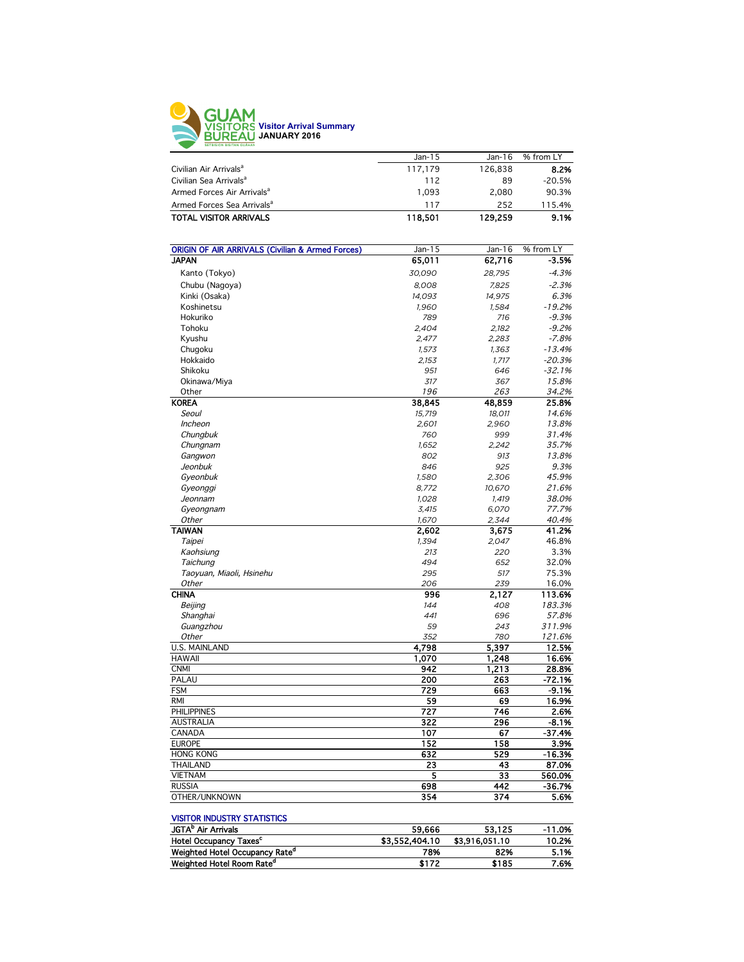

|                                        | Jan-15  | $Jan-16$ | % from LY |
|----------------------------------------|---------|----------|-----------|
| Civilian Air Arrivals <sup>a</sup>     | 117,179 | 126.838  | 8.2%      |
| Civilian Sea Arrivals <sup>a</sup>     | 112     | 89       | $-20.5%$  |
| Armed Forces Air Arrivals <sup>a</sup> | 1.093   | 2.080    | 90.3%     |
| Armed Forces Sea Arrivals <sup>a</sup> | 117     | 252      | 115.4%    |
| <b>TOTAL VISITOR ARRIVALS</b>          | 118.501 | 129,259  | 9.1%      |
|                                        |         |          |           |

| <b>ORIGIN OF AIR ARRIVALS (Civilian &amp; Armed Forces)</b> | Jan-15 | Jan-16 | % from LY |
|-------------------------------------------------------------|--------|--------|-----------|
| <b>JAPAN</b>                                                | 65,011 | 62,716 | $-3.5%$   |
| Kanto (Tokyo)                                               | 30,090 | 28,795 | $-4.3%$   |
| Chubu (Nagoya)                                              | 8,008  | 7,825  | $-2.3%$   |
| Kinki (Osaka)                                               | 14,093 | 14,975 | 6.3%      |
| Koshinetsu                                                  | 1,960  | 1,584  | $-19.2%$  |
| Hokuriko                                                    | 789    | 716    | $-9.3%$   |
| Tohoku                                                      | 2.404  | 2,182  | $-9.2%$   |
| Kyushu                                                      | 2,477  | 2,283  | $-7.8%$   |
| Chugoku                                                     | 1,573  | 1,363  | $-13.4%$  |
| Hokkaido                                                    | 2,153  | 1,717  | $-20.3%$  |
| Shikoku                                                     | 951    | 646    | $-32.1%$  |
| Okinawa/Miya                                                | 317    | 367    | 15.8%     |
| Other                                                       | 196    | 263    | 34.2%     |
| <b>KOREA</b>                                                | 38,845 | 48,859 | 25.8%     |
| Seoul                                                       | 15,719 | 18,011 | 14.6%     |
| Incheon                                                     | 2,601  | 2,960  | 13.8%     |
| Chungbuk                                                    | 760    | 999    | 31.4%     |
| Chungnam                                                    | 1,652  | 2,242  | 35.7%     |
| Gangwon                                                     | 802    | 913    | 13.8%     |
| Jeonbuk                                                     | 846    | 925    | 9.3%      |
| Gyeonbuk                                                    | 1,580  | 2,306  | 45.9%     |
|                                                             | 8,772  | 10,670 | 21.6%     |
| Gyeonggi<br>Jeonnam                                         | 1.028  | 1,419  | 38.0%     |
|                                                             | 3,415  | 6,070  | 77.7%     |
| Gyeongnam<br>Other                                          | 1,670  | 2,344  | 40.4%     |
| <b>TAIWAN</b>                                               | 2,602  | 3,675  | 41.2%     |
| Taipei                                                      | 1,394  | 2,047  | 46.8%     |
| Kaohsiung                                                   | 213    | 220    | 3.3%      |
| Taichung                                                    | 494    | 652    | 32.0%     |
| Taoyuan, Miaoli, Hsinehu                                    | 295    | 517    | 75.3%     |
| Other                                                       | 206    | 239    | 16.0%     |
| <b>CHINA</b>                                                | 996    | 2,127  | 113.6%    |
| Beijing                                                     | 144    | 408    | 183.3%    |
| Shanghai                                                    | 441    | 696    | 57.8%     |
| Guangzhou                                                   | 59     | 243    | 311.9%    |
| Other                                                       | 352    | 780    | 121.6%    |
| <b>U.S. MAINLAND</b>                                        | 4,798  | 5.397  | 12.5%     |
| <b>HAWAII</b>                                               | 1,070  | 1,248  | 16.6%     |
| <b>CNMI</b>                                                 | 942    | 1,213  | 28.8%     |
| PALAU                                                       | 200    | 263    | $-72.1%$  |
| <b>FSM</b>                                                  | 729    | 663    | $-9.1%$   |
| <b>RMI</b>                                                  | 59     | 69     | 16.9%     |
| <b>PHILIPPINES</b>                                          | 727    | 746    | 2.6%      |
| <b>AUSTRALIA</b>                                            | 322    | 296    | $-8.1%$   |
| CANADA                                                      | 107    | 67     | $-37.4%$  |
| <b>EUROPE</b>                                               | 152    | 158    | 3.9%      |
| <b>HONG KONG</b>                                            | 632    | 529    | $-16.3%$  |
| <b>THAILAND</b>                                             | 23     | 43     | 87.0%     |
| <b>VIETNAM</b>                                              |        | 33     |           |
| <b>RUSSIA</b>                                               | 5      | 442    | 560.0%    |
|                                                             | 698    |        | $-36.7%$  |
| OTHER/UNKNOWN                                               | 354    | 374    | 5.6%      |

#### VISITOR INDUSTRY STATISTICS

| JGTA <sup>b</sup> Air Arrivals             | 59.666         | 53.125         | $-11.0%$ |
|--------------------------------------------|----------------|----------------|----------|
| <b>Hotel Occupancy Taxes<sup>c</sup></b>   | \$3,552,404.10 | \$3,916,051,10 | 10.2%    |
| Weighted Hotel Occupancy Rate <sup>o</sup> | 78%            | 82%            | 5.1%     |
| Weighted Hotel Room Rate <sup>d</sup>      | \$172          | \$185          | 7.6%     |
|                                            |                |                |          |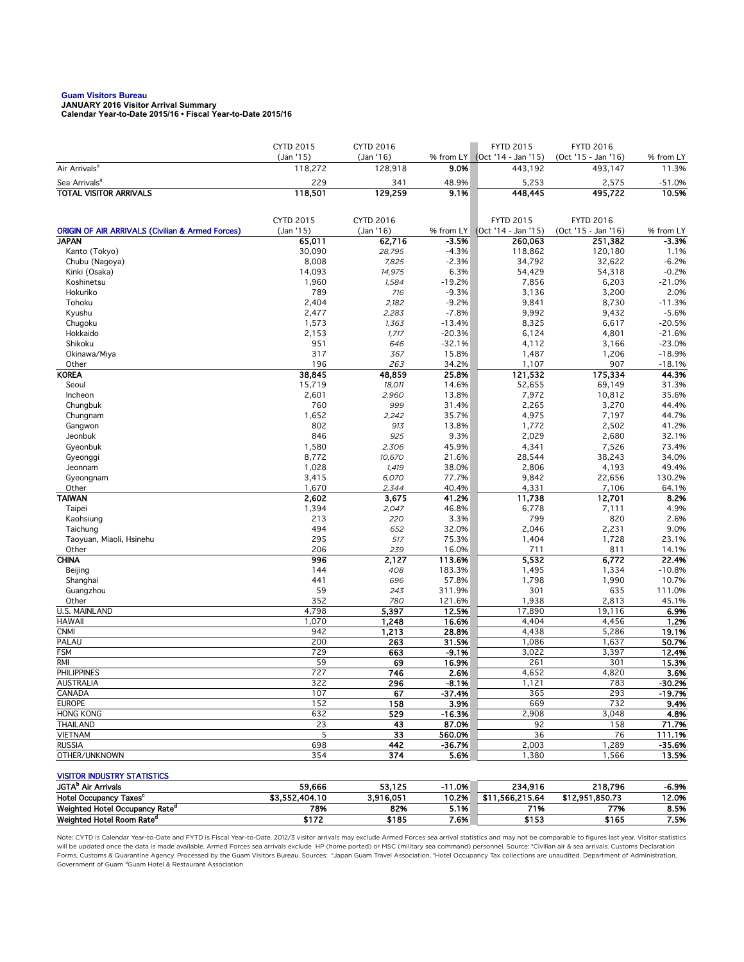# **Guam Visitors Bureau JANUARY 2016 Visitor Arrival Summary**

**Calendar Year-to-Date 2015/16 • Fiscal Year-to-Date 2015/16** 

|                                                             | <b>CYTD 2015</b> | CYTD 2016        |                 | <b>FYTD 2015</b>    | <b>FYTD 2016</b>    |                    |
|-------------------------------------------------------------|------------------|------------------|-----------------|---------------------|---------------------|--------------------|
|                                                             | (Jan '15)        | (Jan 16)         | % from LY       | (Oct '14 - Jan '15) | (Oct '15 - Jan '16) | % from LY          |
| Air Arrivals <sup>a</sup>                                   | 118,272          | 128,918          | 9.0%            | 443,192             | 493,147             | 11.3%              |
| Sea Arrivals <sup>a</sup>                                   | 229              | 341              | 48.9%           | 5,253               | 2,575               | $-51.0%$           |
| <b>TOTAL VISITOR ARRIVALS</b>                               | 118,501          | 129,259          | 9.1%            | 448,445             | 495,722             | 10.5%              |
|                                                             |                  |                  |                 |                     |                     |                    |
|                                                             | <b>CYTD 2015</b> | <b>CYTD 2016</b> |                 | <b>FYTD 2015</b>    | <b>FYTD 2016</b>    |                    |
| <b>ORIGIN OF AIR ARRIVALS (Civilian &amp; Armed Forces)</b> | (Jan '15)        | (Jan 16)         | % from $LY$     | (Oct '14 - Jan '15) | (Oct '15 - Jan '16) | % from LY          |
| <b>JAPAN</b>                                                | 65,011           | 62,716           | $-3.5%$         | 260,063             | 251,382             | $-3.3%$            |
| Kanto (Tokyo)                                               | 30,090           | 28,795           | $-4.3%$         | 118,862<br>34,792   | 120,180             | 1.1%               |
| Chubu (Nagoya)<br>Kinki (Osaka)                             | 8,008<br>14,093  | 7,825<br>14,975  | $-2.3%$<br>6.3% | 54,429              | 32,622<br>54,318    | $-6.2%$<br>$-0.2%$ |
| Koshinetsu                                                  | 1,960            | 1,584            | $-19.2%$        | 7,856               | 6,203               | $-21.0%$           |
| Hokuriko                                                    | 789              | 716              | $-9.3%$         | 3,136               | 3,200               | 2.0%               |
| Tohoku                                                      | 2,404            | 2,182            | $-9.2%$         | 9,841               | 8,730               | $-11.3%$           |
| Kyushu                                                      | 2,477            | 2,283            | $-7.8%$         | 9,992               | 9,432               | $-5.6%$            |
| Chugoku                                                     | 1,573            | 1,363            | $-13.4%$        | 8,325               | 6,617               | $-20.5%$           |
| Hokkaido                                                    | 2,153            | 1,717            | $-20.3%$        | 6,124               | 4,801               | $-21.6%$           |
| Shikoku                                                     | 951              | 646              | $-32.1%$        | 4,112               | 3,166               | $-23.0%$           |
| Okinawa/Miya                                                | 317              | 367              | 15.8%           | 1,487               | 1,206               | $-18.9%$           |
| Other                                                       | 196              | 263              | 34.2%           | 1,107               | 907                 | $-18.1%$           |
| <b>KOREA</b>                                                | 38,845           | 48,859           | 25.8%           | 121,532             | 175,334             | 44.3%              |
| Seoul                                                       | 15,719           | 18,011           | 14.6%           | 52,655              | 69,149              | 31.3%              |
| Incheon                                                     | 2,601<br>760     | 2,960            | 13.8%           | 7,972               | 10,812              | 35.6%              |
| Chungbuk<br>Chungnam                                        | 1,652            | 999<br>2,242     | 31.4%<br>35.7%  | 2,265<br>4,975      | 3,270<br>7,197      | 44.4%<br>44.7%     |
| Gangwon                                                     | 802              | 913              | 13.8%           | 1,772               | 2,502               | 41.2%              |
| Jeonbuk                                                     | 846              | 925              | 9.3%            | 2,029               | 2,680               | 32.1%              |
| Gyeonbuk                                                    | 1,580            | 2,306            | 45.9%           | 4,341               | 7,526               | 73.4%              |
| Gyeonggi                                                    | 8,772            | 10,670           | 21.6%           | 28,544              | 38,243              | 34.0%              |
| Jeonnam                                                     | 1,028            | 1,419            | 38.0%           | 2,806               | 4,193               | 49.4%              |
| Gyeongnam                                                   | 3,415            | 6,070            | 77.7%           | 9,842               | 22,656              | 130.2%             |
| Other                                                       | 1,670            | 2,344            | 40.4%           | 4,331               | 7,106               | 64.1%              |
| <b>TAIWAN</b>                                               | 2,602            | 3,675            | 41.2%           | 11,738              | 12,701              | 8.2%               |
| Taipei                                                      | 1,394            | 2,047            | 46.8%           | 6,778               | 7,111               | 4.9%               |
| Kaohsiung                                                   | 213              | 220              | 3.3%            | 799                 | 820                 | 2.6%               |
| Taichung                                                    | 494<br>295       | 652<br>517       | 32.0%           | 2,046               | 2,231               | 9.0%<br>23.1%      |
| Taoyuan, Miaoli, Hsinehu<br>Other                           | 206              | 239              | 75.3%<br>16.0%  | 1,404<br>711        | 1,728<br>811        | 14.1%              |
| <b>CHINA</b>                                                | 996              | 2,127            | 113.6%          | 5,532               | 6,772               | 22.4%              |
| Beijing                                                     | 144              | 408              | 183.3%          | 1,495               | 1,334               | $-10.8%$           |
| Shanghai                                                    | 441              | 696              | 57.8%           | 1,798               | 1,990               | 10.7%              |
| Guangzhou                                                   | 59               | 243              | 311.9%          | 301                 | 635                 | 111.0%             |
| Other                                                       | 352              | 780              | 121.6%          | 1,938               | 2,813               | 45.1%              |
| U.S. MAINLAND                                               | 4,798            | 5,397            | 12.5%           | 17,890              | 19,116              | 6.9%               |
| <b>HAWAII</b>                                               | 1,070            | 1,248            | 16.6%           | 4,404               | 4,456               | 1.2%               |
| <b>CNMI</b>                                                 | 942              | 1,213            | 28.8%           | 4,438               | 5,286               | 19.1%              |
| PALAU                                                       | 200              | 263              | 31.5%           | 1,086               | 1,637               | 50.7%              |
| <b>FSM</b>                                                  | 729              | 663              | $-9.1%$         | 3,022               | 3,397               | 12.4%<br>15.3%     |
| RMI<br><b>PHILIPPINES</b>                                   | 59<br>727        | 69<br>746        | 16.9%<br>2.6%   | 261<br>4,652        | 301<br>4,820        | 3.6%               |
| AUSTRALIA                                                   | 322              | 296              | -8.1%           | 1,121               | 783                 | -30.2%             |
| CANADA                                                      | 107              | 67               | $-37.4%$        | 365                 | 293                 | $-19.7%$           |
| <b>EUROPE</b>                                               | 152              | 158              | 3.9%            | 669                 | 732                 | 9.4%               |
| <b>HONG KONG</b>                                            | 632              | 529              | $-16.3%$        | 2,908               | 3,048               | 4.8%               |
| <b>THAILAND</b>                                             | 23               | 43               | 87.0%           | 92                  | 158                 | 71.7%              |
| <b>VIETNAM</b>                                              | 5                | 33               | 560.0%          | 36                  | 76                  | 111.1%             |
| <b>RUSSIA</b>                                               | 698              | 442              | $-36.7%$        | 2,003               | 1,289               | $-35.6%$           |
| OTHER/UNKNOWN                                               | 354              | $\overline{374}$ | 5.6%            | 1,380               | 1,566               | 13.5%              |
|                                                             |                  |                  |                 |                     |                     |                    |
| <b>VISITOR INDUSTRY STATISTICS</b>                          |                  |                  |                 |                     |                     |                    |
| JGTA <sup>b</sup> Air Arrivals                              | 59,666           | 53,125           | $-11.0%$        | 234,916             | 218,796             | -6.9%              |
| Hotel Occupancy Taxes <sup>c</sup>                          | \$3,552,404.10   | 3,916,051        | 10.2%           | \$11,566,215.64     | \$12,951,850.73     | 12.0%              |
| Weighted Hotel Occupancy Rate <sup>d</sup>                  | 78%              | 82%              | 5.1%            | 71%                 | 77%                 | 8.5%               |
| Weighted Hotel Room Rate <sup>d</sup>                       | \$172            | \$185            | 7.6%            | \$153               | \$165               | 7.5%               |

Note: CYTD is Calendar Year-to-Date and FYTD is Fiscal Year-to-Date. 2012/3 visitor arrivals may exclude Armed Forces sea arrival statistics and may not be comparable to figures last year. Visitor statistics will be updated once the data is made available. Armed Forces sea arrivals exclude HP (home ported) or MSC (military sea command) personnel. Source: °Civilian air & sea arrivals. Customs Declaration<br>Forms, Customs & Quaran Government of Guam dGuam Hotel & Restaurant Association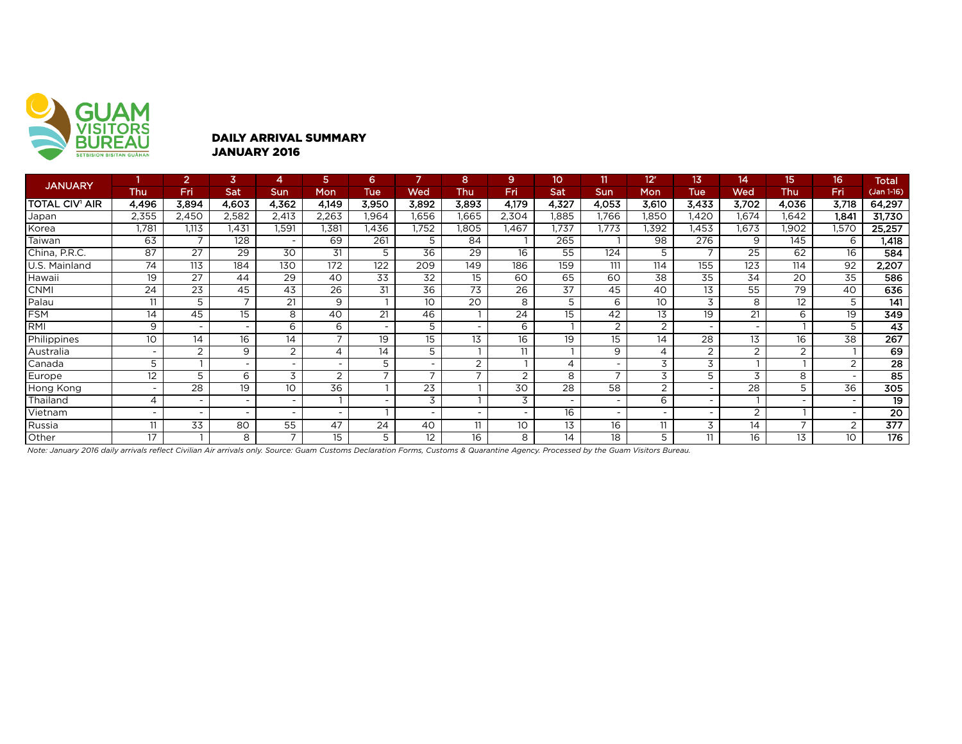

#### DAILY ARRIVAL SUMMARY JANUARY 2016

| <b>JANUARY</b>        |                          | $\overline{2}$   | 3                        | 4                        | 5                        | 6.                       |                          | 8                        | 9              | 10.                      |                          | 12 <sup>r</sup> | 13              | 14                       | 15                       | 16                       | <b>Total</b>     |
|-----------------------|--------------------------|------------------|--------------------------|--------------------------|--------------------------|--------------------------|--------------------------|--------------------------|----------------|--------------------------|--------------------------|-----------------|-----------------|--------------------------|--------------------------|--------------------------|------------------|
|                       | <b>Thu</b>               | Fri              | Sat                      | <b>Sun</b>               | Mon                      | <b>Tue</b>               | Wed                      | Thu                      | Fri            | Sat                      | Sun                      | Mon             | Tue             | Wed                      | Thu                      | Fri                      | (Jan 1-16)       |
| <b>TOTAL CIV' AIR</b> | 4,496                    | 3,894            | 4,603                    | 4,362                    | 4,149                    | 3,950                    | 3,892                    | 3,893                    | 4,179          | 4,327                    | 4,053                    | 3,610           | 3,433           | 3,702                    | 4,036                    | 3,718                    | 64,297           |
| Japan                 | 2,355                    | 2,450            | 2,582                    | 2,413                    | 2,263                    | 1.964                    | 1,656                    | 1,665                    | 2,304          | 1.885                    | 1.766                    | l,850           | .420            | .674                     | 1.642                    | 1.841                    | 31,730           |
| Korea                 | 1,781                    | 1,113            | 1.431                    | 1,591                    | 1.381                    | .436                     | 1,752                    | 1.805                    | .467           | 1.737                    | 1.773                    | 1,392           | 1.453           | .673                     | .902                     | 1,570                    | 25,257           |
| Taiwan                | 63                       | $\overline{ }$   | 128                      | $\overline{\phantom{a}}$ | 69                       | 261                      | 5                        | 84                       |                | 265                      |                          | 98              | 276             | 9                        | 145                      | 6                        | 1,418            |
| China, P.R.C.         | 87                       | 27               | 29                       | 30                       | 31                       | 5                        | 36                       | 29                       | 16             | 55                       | 124                      | 5               |                 | 25                       | 62                       | 16                       | 584              |
| U.S. Mainland         | 74                       | $\overline{113}$ | 184                      | 130                      | $\overline{172}$         | 122                      | 209                      | 149                      | 186            | 159                      | 111                      | 114             | 155             | 123                      | 114                      | 92                       | 2,207            |
| Hawaii                | 19                       | $\overline{27}$  | 44                       | $\overline{29}$          | 40                       | $\overline{33}$          | $\overline{32}$          | 15                       | 60             | 65                       | 60                       | $\overline{38}$ | $\overline{35}$ | $\overline{34}$          | 20                       | $\overline{35}$          | 586              |
| <b>CNMI</b>           | 24                       | 23               | 45                       | 43                       | 26                       | 31                       | 36                       | 73                       | 26             | 37                       | 45                       | 40              | 13              | 55                       | 79                       | 40                       | 636              |
| Palau                 | 11                       | 5                | $\overline{\phantom{a}}$ | 21                       | 9                        |                          | 10                       | $\overline{20}$          | 8              | 5                        | 6                        | 10              | 3               | 8                        | 12                       | 5                        | 141              |
| FSM                   | 14                       | 45               | 15                       | 8                        | 40                       | 21                       | 46                       |                          | 24             | 15                       | 42                       | 13              | 19              | 21                       | 6                        | 19                       | 349              |
| RMI                   | 9                        |                  |                          | 6                        | 6                        | $\overline{\phantom{a}}$ | 5                        | $\overline{\phantom{a}}$ | 6              |                          | 2                        | 2               |                 | $\overline{\phantom{0}}$ |                          | 5                        | 43               |
| Philippines           | 10                       | 14               | 16                       | 14                       | $\overline{7}$           | 19                       | 15                       | 13                       | 16             | 19                       | 15                       | 14              | 28              | 13                       | 16                       | 38                       | $\overline{267}$ |
| Australia             | $\overline{\phantom{0}}$ | $\mathcal{D}$    | 9                        | $\overline{2}$           | $\overline{\mathcal{A}}$ | 14                       | 5                        |                          | 11             |                          | 9                        | ⊿               | 2               | $\overline{2}$           | $\overline{2}$           |                          | 69               |
| Canada                | 5                        |                  |                          | $\overline{\phantom{0}}$ | $\overline{\phantom{a}}$ | 5                        | $\overline{\phantom{0}}$ | 2                        |                | 4                        | $\overline{\phantom{a}}$ | 3               | 3               |                          |                          | 2                        | $\overline{28}$  |
| <b>Europe</b>         | 12                       | 5                | 6                        | 3                        | 2                        | $\overline{7}$           | $\overline{ }$           | $\overline{ }$           | $\overline{2}$ | 8                        | $\overline{ }$           | 3               | 5               | 3                        | 8                        | $\overline{\phantom{0}}$ | $\overline{85}$  |
| Hong Kong             | -                        | 28               | 19                       | 10                       | 36                       |                          | 23                       |                          | 30             | 28                       | 58                       | 2               |                 | 28                       | 5                        | 36                       | 305              |
| Thailand              | 4                        | $\overline{a}$   |                          | $\overline{\phantom{a}}$ |                          | $\overline{\phantom{a}}$ | 3                        |                          | 3              | $\overline{\phantom{a}}$ | $\overline{\phantom{0}}$ | 6               | $\overline{a}$  |                          |                          |                          | 19               |
| Vietnam               | $\overline{\phantom{0}}$ |                  |                          | $\overline{\phantom{a}}$ | $\overline{\phantom{a}}$ |                          | $\overline{\phantom{0}}$ |                          |                | 16                       | $\overline{\phantom{a}}$ |                 |                 | ◠                        |                          |                          | $\overline{20}$  |
| Russia                | 11                       | 33               | 80                       | 55                       | 47                       | 24                       | 40                       | 11                       | 10             | 13                       | 16                       | 11              | 3               | 14                       | $\overline{\phantom{0}}$ | 2                        | $\overline{377}$ |
| Other                 | 17                       |                  | 8                        | $\overline{ }$           | 15                       | 5                        | 12                       | 16                       | 8              | 14                       | 18                       | 5               | 11              | 16                       | 13                       | 10                       | 176              |

*Note: January 2016 daily arrivals reflect Civilian Air arrivals only. Source: Guam Customs Declaration Forms, Customs & Quarantine Agency. Processed by the Guam Visitors Bureau.*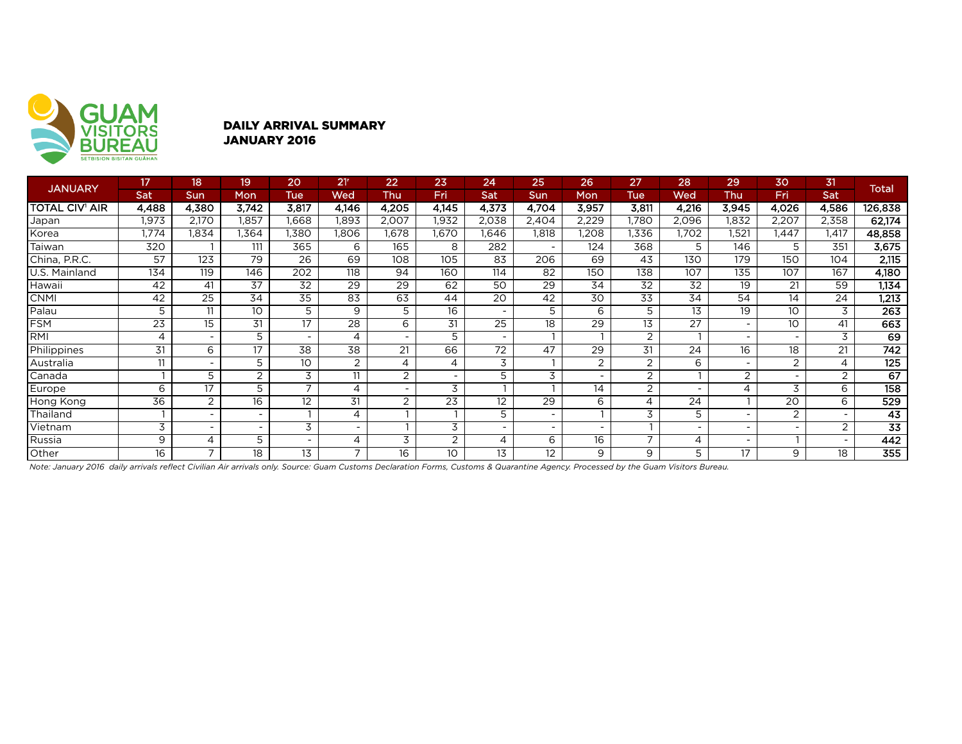

### DAILY ARRIVAL SUMMARY JANUARY 2016

| <b>JANUARY</b>        | 17    | 18                       | 19              | 20                       | 21 <sup>r</sup>          | 22                       | 23              | 24                       | 25                       | 26    | 27                       | 28              | 29             | 30                       | 31                       | <b>Total</b>    |
|-----------------------|-------|--------------------------|-----------------|--------------------------|--------------------------|--------------------------|-----------------|--------------------------|--------------------------|-------|--------------------------|-----------------|----------------|--------------------------|--------------------------|-----------------|
|                       | Sat   | <b>Sun</b>               | Mon             | Tue                      | Wed                      | Thu                      | Fri             | Sat                      | Sun                      | Mon   | Tue                      | Wed             | Thu            | <b>Fri</b>               | Sat                      |                 |
| <b>TOTAL CIV' AIR</b> | 4,488 | 4,380                    | 3,742           | 3,817                    | 4,146                    | 4,205                    | 4,145           | 4,373                    | 4,704                    | 3,957 | 3,811                    | 4,216           | 3,945          | 4,026                    | 4,586                    | 126,838         |
| Japan                 | 1,973 | 2,170                    | 1,857           | .668                     | 1,893                    | 2,007                    | 1,932           | 2,038                    | 2,404                    | 2,229 | l,780                    | 2,096           | ,832           | 2,207                    | 2,358                    | 62,174          |
| Korea                 | 1,774 | 1,834                    | .364            | .380                     | .806                     | .678                     | 1,670           | .646                     | 1,818                    | 1,208 | 1,336                    | 1,702           | ,521           | 1,447                    | i,417                    | 48,858          |
| Taiwan                | 320   |                          | 111             | 365                      | 6                        | 165                      | 8               | $\overline{282}$         | $\overline{\phantom{a}}$ | 124   | 368                      | 5               | 146            | 5                        | 351                      | 3,675           |
| China, P.R.C.         | 57    | 123                      | 79              | 26                       | 69                       | 108                      | 105             | 83                       | 206                      | 69    | 43                       | 130             | 179            | 150                      | 104                      | 2,115           |
| U.S. Mainland         | 134   | 119                      | 146             | 202                      | 118                      | 94                       | 160             | 114                      | 82                       | 150   | 138                      | 107             | 135            | 107                      | 167                      | 4,180           |
| Hawaii                | 42    | 41                       | $\overline{37}$ | 32                       | $\overline{29}$          | $\overline{29}$          | 62              | 50                       | $\overline{29}$          | 34    | 32                       | $\overline{32}$ | 19             | 21                       | 59                       | 1,134           |
| <b>CNMI</b>           | 42    | 25                       | 34              | 35                       | 83                       | 63                       | 44              | 20                       | 42                       | 30    | 33                       | 34              | 54             | 14                       | 24                       | 1,213           |
| Palau                 | 5     | 11                       | 10              | 5                        | 9                        | 5                        | 16              | $\overline{\phantom{a}}$ | 5                        | 6     | 5                        | 13              | 19             | 10                       | 3                        | 263             |
| <b>FSM</b>            | 23    | 15                       | 31              | 17                       | 28                       | 6                        | 31              | 25                       | 18                       | 29    | 13                       | 27              |                | 10                       | 41                       | 663             |
| RMI                   | 4     | $\overline{\phantom{a}}$ | 5               | -                        | 4                        | $\overline{\phantom{a}}$ | 5               | $\overline{\phantom{a}}$ |                          |       | $\overline{2}$           |                 |                | $\overline{\phantom{a}}$ | 3                        | 69              |
| Philippines           | 31    | 6                        | 17              | 38                       | 38                       | 21                       | 66              | 72                       | 47                       | 29    | 31                       | 24              | 16             | 18                       | 21                       | 742             |
| Australia             | 11    |                          | 5               | 10                       | $\overline{2}$           | 4                        | 4               | 3                        |                          | 2     | 2                        | 6               |                | 2                        | 4                        | 125             |
| Canada                |       | 5                        | $\overline{2}$  | 3                        | 11                       | 2                        | $\sim$          | 5                        | 3                        |       | $\overline{2}$           |                 | $\overline{2}$ |                          | $\overline{2}$           | 67              |
| Europe                | 6     | 17                       | 5               | $\overline{\phantom{0}}$ | 4                        | -                        | 3               |                          |                          | 14    | 2                        |                 | 4              | 3                        | 6                        | 158             |
| Hong Kong             | 36    | $\overline{2}$           | 16              | 12                       | 31                       | 2                        | $\overline{23}$ | 12                       | 29                       | 6     | 4                        | 24              |                | 20                       | 6                        | 529             |
| Thailand              |       | $\overline{\phantom{a}}$ |                 |                          | 4                        |                          |                 | 5                        | $\overline{\phantom{a}}$ |       | 3                        | 5               |                | 2                        | $\sim$                   | 43              |
| Vietnam               | 3     | $\overline{\phantom{a}}$ |                 | 3                        | $\overline{\phantom{a}}$ |                          | 3               | $\overline{\phantom{a}}$ | $\overline{\phantom{a}}$ |       |                          |                 |                |                          | 2                        | $\overline{33}$ |
| Russia                | 9     | 4                        | 5               |                          | 4                        | 3                        | $\overline{2}$  | 4                        | 6                        | 16    | $\overline{\phantom{a}}$ | 4               |                |                          | $\overline{\phantom{0}}$ | 442             |
| Other                 | 16    |                          | 18              | 13                       | 7                        | 16                       | 10 <sup>°</sup> | 13                       | 12                       | 9     | 9                        | 5               | 17             | 9                        | 18                       | 355             |

*Note: January 2016 daily arrivals reflect Civilian Air arrivals only. Source: Guam Customs Declaration Forms, Customs & Quarantine Agency. Processed by the Guam Visitors Bureau.*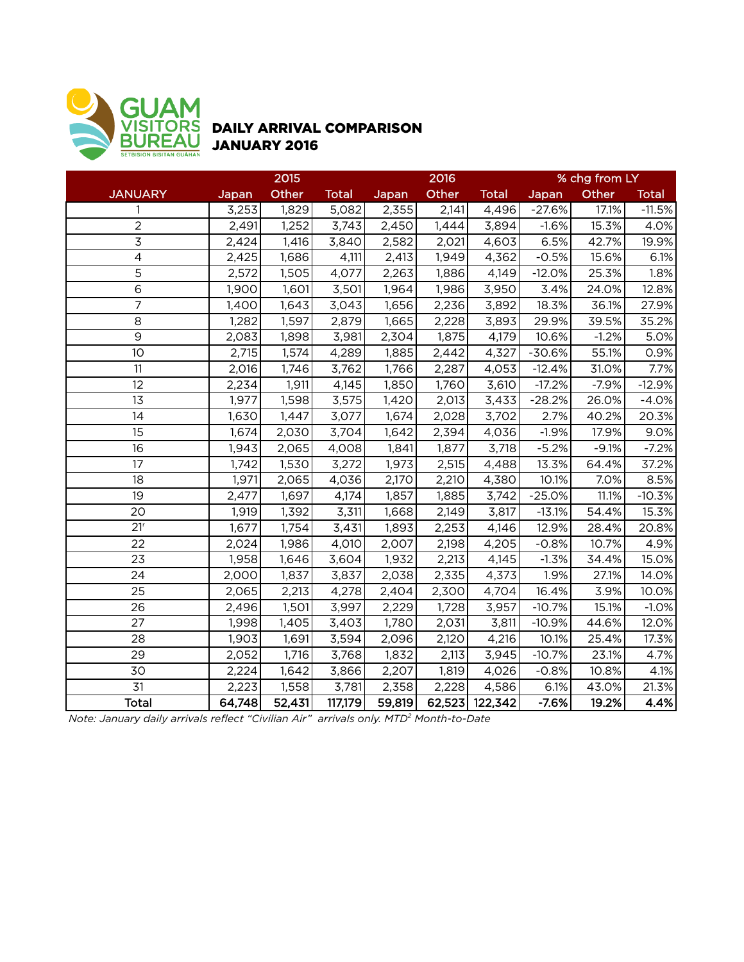

## DAILY ARRIVAL COMPARISON JANUARY 2016

|                 | 2015   |        |              |        | 2016  |                | % chg from LY |         |              |  |
|-----------------|--------|--------|--------------|--------|-------|----------------|---------------|---------|--------------|--|
| <b>JANUARY</b>  | Japan  | Other  | <b>Total</b> | Japan  | Other | <b>Total</b>   | Japan         | Other   | <b>Total</b> |  |
| 1               | 3,253  | 1,829  | 5,082        | 2,355  | 2,141 | 4,496          | $-27.6%$      | 17.1%   | $-11.5%$     |  |
| $\overline{2}$  | 2,491  | 1,252  | 3,743        | 2,450  | 1,444 | 3,894          | $-1.6%$       | 15.3%   | 4.0%         |  |
| $\overline{3}$  | 2,424  | 1,416  | 3,840        | 2,582  | 2,021 | 4,603          | 6.5%          | 42.7%   | 19.9%        |  |
| $\overline{4}$  | 2,425  | 1,686  | 4,111        | 2,413  | 1,949 | 4,362          | $-0.5%$       | 15.6%   | 6.1%         |  |
| 5               | 2,572  | 1,505  | 4,077        | 2,263  | 1,886 | 4,149          | $-12.0%$      | 25.3%   | 1.8%         |  |
| 6               | 1,900  | 1,601  | 3,501        | 1,964  | 1,986 | 3,950          | 3.4%          | 24.0%   | 12.8%        |  |
| $\overline{7}$  | 1,400  | 1,643  | 3,043        | 1,656  | 2,236 | 3,892          | 18.3%         | 36.1%   | 27.9%        |  |
| 8               | 1,282  | 1,597  | 2,879        | 1,665  | 2,228 | 3,893          | 29.9%         | 39.5%   | 35.2%        |  |
| $\overline{9}$  | 2,083  | 1,898  | 3,981        | 2,304  | 1,875 | 4,179          | 10.6%         | $-1.2%$ | 5.0%         |  |
| 10              | 2,715  | 1,574  | 4,289        | 1,885  | 2,442 | 4,327          | $-30.6%$      | 55.1%   | 0.9%         |  |
| 11              | 2,016  | 1,746  | 3,762        | 1,766  | 2,287 | 4,053          | $-12.4%$      | 31.0%   | 7.7%         |  |
| 12              | 2,234  | 1,911  | 4,145        | 1,850  | 1,760 | 3,610          | $-17.2%$      | $-7.9%$ | $-12.9%$     |  |
| 13              | 1,977  | 1,598  | 3,575        | 1,420  | 2,013 | 3,433          | $-28.2%$      | 26.0%   | $-4.0%$      |  |
| 14              | 1,630  | 1,447  | 3,077        | 1,674  | 2,028 | 3,702          | 2.7%          | 40.2%   | 20.3%        |  |
| 15              | 1,674  | 2,030  | 3,704        | 1,642  | 2,394 | 4,036          | $-1.9%$       | 17.9%   | 9.0%         |  |
| $\overline{16}$ | 1,943  | 2,065  | 4,008        | 1,841  | 1,877 | 3,718          | $-5.2%$       | $-9.1%$ | $-7.2%$      |  |
| 17              | 1,742  | 1,530  | 3,272        | 1,973  | 2,515 | 4,488          | 13.3%         | 64.4%   | 37.2%        |  |
| 18              | 1,971  | 2,065  | 4,036        | 2,170  | 2,210 | 4,380          | 10.1%         | 7.0%    | 8.5%         |  |
| 19              | 2,477  | 1,697  | 4,174        | 1,857  | 1,885 | 3,742          | $-25.0%$      | 11.1%   | $-10.3%$     |  |
| 20              | 1,919  | 1,392  | 3,311        | 1,668  | 2,149 | 3,817          | $-13.1%$      | 54.4%   | 15.3%        |  |
| 21 <sup>r</sup> | 1,677  | 1,754  | 3,431        | 1,893  | 2,253 | 4,146          | 12.9%         | 28.4%   | 20.8%        |  |
| $\overline{22}$ | 2,024  | 1,986  | 4,010        | 2,007  | 2,198 | 4,205          | $-0.8%$       | 10.7%   | 4.9%         |  |
| 23              | 1,958  | 1,646  | 3,604        | 1,932  | 2,213 | 4,145          | $-1.3%$       | 34.4%   | 15.0%        |  |
| 24              | 2,000  | 1,837  | 3,837        | 2,038  | 2,335 | 4,373          | 1.9%          | 27.1%   | 14.0%        |  |
| 25              | 2,065  | 2,213  | 4,278        | 2,404  | 2,300 | 4,704          | 16.4%         | 3.9%    | 10.0%        |  |
| 26              | 2,496  | 1,501  | 3,997        | 2,229  | 1,728 | 3,957          | $-10.7%$      | 15.1%   | $-1.0%$      |  |
| 27              | 1,998  | 1,405  | 3,403        | 1,780  | 2,031 | 3,811          | $-10.9%$      | 44.6%   | 12.0%        |  |
| 28              | 1,903  | 1,691  | 3,594        | 2,096  | 2,120 | 4,216          | 10.1%         | 25.4%   | 17.3%        |  |
| 29              | 2,052  | 1,716  | 3,768        | 1,832  | 2,113 | 3,945          | $-10.7%$      | 23.1%   | 4.7%         |  |
| 30              | 2,224  | 1,642  | 3,866        | 2,207  | 1,819 | 4,026          | $-0.8%$       | 10.8%   | 4.1%         |  |
| 31              | 2,223  | 1,558  | 3,781        | 2,358  | 2,228 | 4,586          | 6.1%          | 43.0%   | 21.3%        |  |
| <b>Total</b>    | 64,748 | 52,431 | 117,179      | 59,819 |       | 62,523 122,342 | $-7.6%$       | 19.2%   | 4.4%         |  |

*Note: January daily arrivals reflect "Civilian Air" arrivals only. MTD2 Month-to-Date*